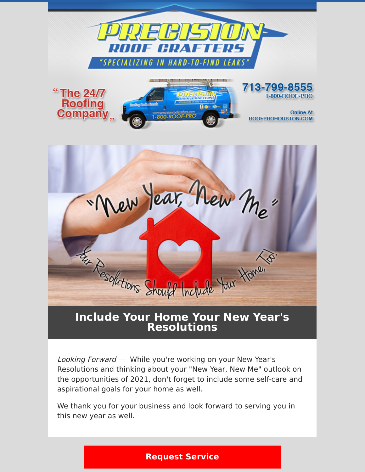



## **Include Your Home Your New Year's Resolutions**

Looking Forward — While you're working on your New Year's Resolutions and thinking about your "New Year, New Me" outlook on the opportunities of 2021, don't forget to include some self-care and aspirational goals for your home as well.

We thank you for your business and look forward to serving you in this new year as well.

#### **[Request Service](https://www.precisionroofcrafters.com/contact-us.php)**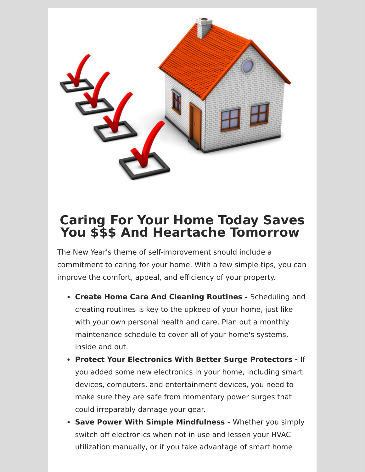

# **Caring For Your Home Today Saves You \$\$\$ And Heartache Tomorrow**

The New Year's theme of self-improvement should include a commitment to caring for your home. With a few simple tips, you can improve the comfort, appeal, and efficiency of your property.

- **Create Home Care And Cleaning Routines** Scheduling and creating routines is key to the upkeep of your home, just like with your own personal health and care. Plan out a monthly maintenance schedule to cover all of your home's systems, inside and out.
- **Protect Your Electronics With Better Surge Protectors** If you added some new electronics in your home, including smart devices, computers, and entertainment devices, you need to make sure they are safe from momentary power surges that could irreparably damage your gear.
- **Save Power With Simple Mindfulness** Whether you simply switch off electronics when not in use and lessen your HVAC utilization manually, or if you take advantage of smart home